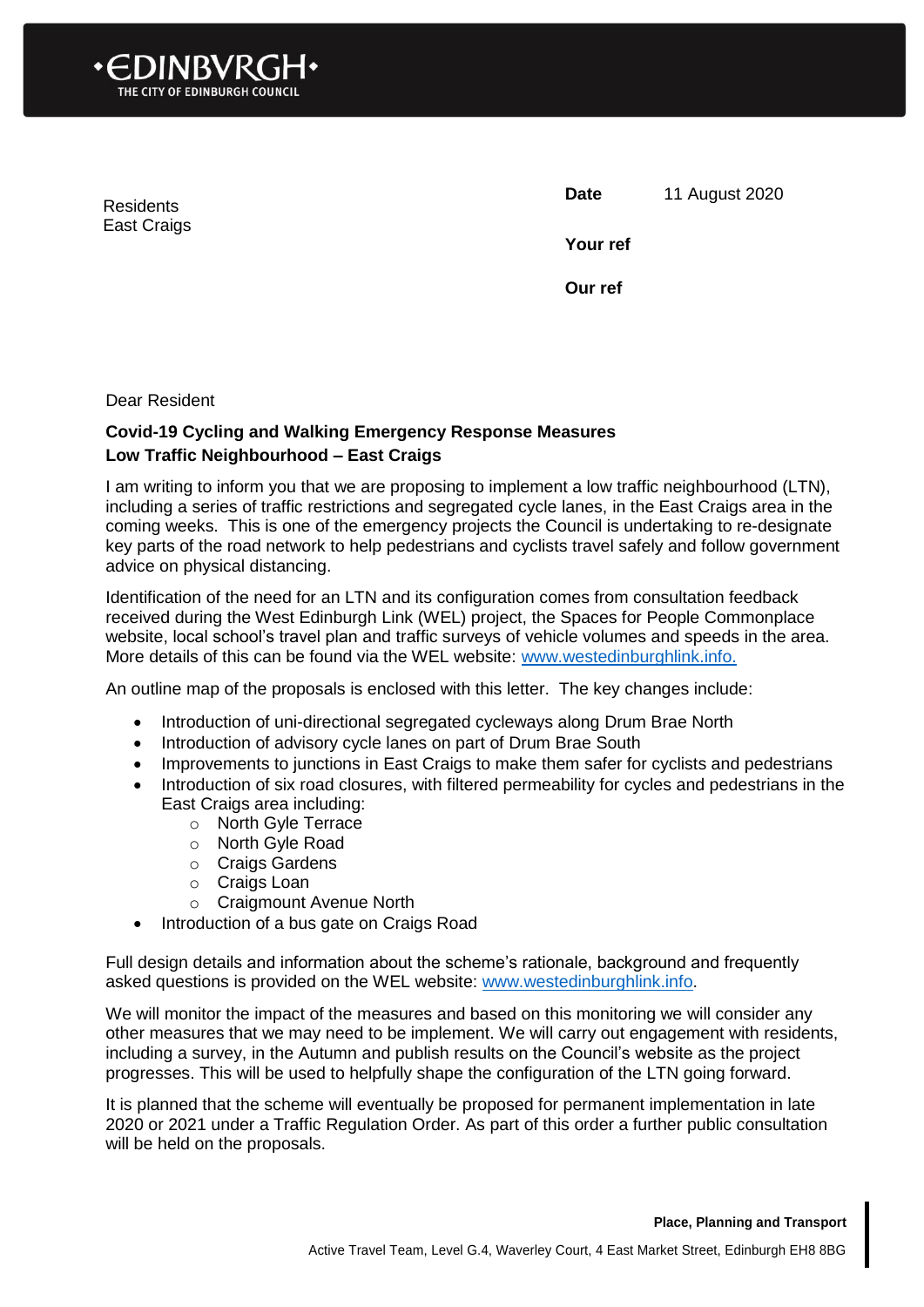

Residents East Craigs **Date** 11 August 2020

**Your ref**

**Our ref**

Dear Resident

## **Covid-19 Cycling and Walking Emergency Response Measures Low Traffic Neighbourhood – East Craigs**

I am writing to inform you that we are proposing to implement a low traffic neighbourhood (LTN), including a series of traffic restrictions and segregated cycle lanes, in the East Craigs area in the coming weeks. This is one of the emergency projects the Council is undertaking to re-designate key parts of the road network to help pedestrians and cyclists travel safely and follow government advice on physical distancing.

Identification of the need for an LTN and its configuration comes from consultation feedback received during the West Edinburgh Link (WEL) project, the Spaces for People Commonplace website, local school's travel plan and traffic surveys of vehicle volumes and speeds in the area. More details of this can be found via the WEL website: [www.westedinburghlink.info.](http://www.westedinburghlink.info/)

An outline map of the proposals is enclosed with this letter. The key changes include:

- Introduction of uni-directional segregated cycleways along Drum Brae North
- Introduction of advisory cycle lanes on part of Drum Brae South
- Improvements to junctions in East Craigs to make them safer for cyclists and pedestrians
- Introduction of six road closures, with filtered permeability for cycles and pedestrians in the East Craigs area including:
	- o North Gyle Terrace
	- o North Gyle Road
	- o Craigs Gardens
	- o Craigs Loan
	- o Craigmount Avenue North
- Introduction of a bus gate on Craigs Road

Full design details and information about the scheme's rationale, background and frequently asked questions is provided on the WEL website: [www.westedinburghlink.info.](http://www.westedinburghlink.info/)

We will monitor the impact of the measures and based on this monitoring we will consider any other measures that we may need to be implement. We will carry out engagement with residents, including a survey, in the Autumn and publish results on the Council's website as the project progresses. This will be used to helpfully shape the configuration of the LTN going forward.

It is planned that the scheme will eventually be proposed for permanent implementation in late 2020 or 2021 under a Traffic Regulation Order. As part of this order a further public consultation will be held on the proposals.